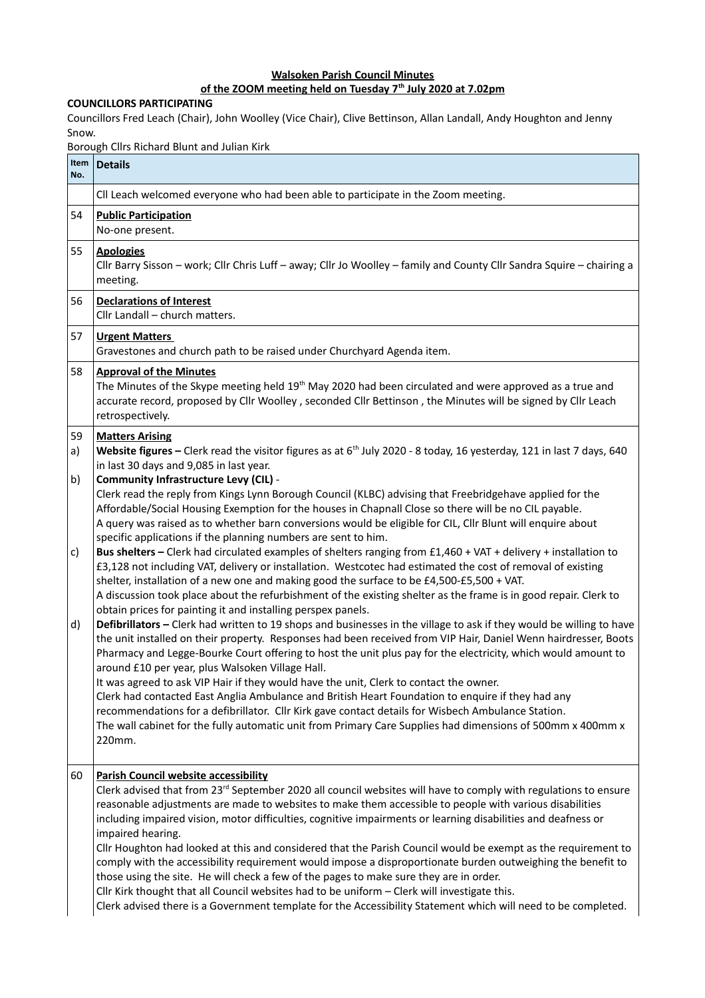## **Walsoken Parish Council Minutes**

## **of the ZOOM meeting held on Tuesday 7th July 2020 at 7.02pm**

## **COUNCILLORS PARTICIPATING**

Councillors Fred Leach (Chair), John Woolley (Vice Chair), Clive Bettinson, Allan Landall, Andy Houghton and Jenny Snow.

Borough Cllrs Richard Blunt and Julian Kirk

| Item<br>No. | <b>Details</b>                                                                                                                                                                                                                                                                                                                                                                                                                                                                                                                                                                                                                                                                                                                                                                                                                                                                                                                                                  |
|-------------|-----------------------------------------------------------------------------------------------------------------------------------------------------------------------------------------------------------------------------------------------------------------------------------------------------------------------------------------------------------------------------------------------------------------------------------------------------------------------------------------------------------------------------------------------------------------------------------------------------------------------------------------------------------------------------------------------------------------------------------------------------------------------------------------------------------------------------------------------------------------------------------------------------------------------------------------------------------------|
|             | CII Leach welcomed everyone who had been able to participate in the Zoom meeting.                                                                                                                                                                                                                                                                                                                                                                                                                                                                                                                                                                                                                                                                                                                                                                                                                                                                               |
| 54          | <b>Public Participation</b><br>No-one present.                                                                                                                                                                                                                                                                                                                                                                                                                                                                                                                                                                                                                                                                                                                                                                                                                                                                                                                  |
| 55          | <b>Apologies</b><br>Cllr Barry Sisson - work; Cllr Chris Luff - away; Cllr Jo Woolley - family and County Cllr Sandra Squire - chairing a<br>meeting.                                                                                                                                                                                                                                                                                                                                                                                                                                                                                                                                                                                                                                                                                                                                                                                                           |
| 56          | <b>Declarations of Interest</b><br>Cllr Landall - church matters.                                                                                                                                                                                                                                                                                                                                                                                                                                                                                                                                                                                                                                                                                                                                                                                                                                                                                               |
| 57          | <b>Urgent Matters</b><br>Gravestones and church path to be raised under Churchyard Agenda item.                                                                                                                                                                                                                                                                                                                                                                                                                                                                                                                                                                                                                                                                                                                                                                                                                                                                 |
| 58          | <b>Approval of the Minutes</b><br>The Minutes of the Skype meeting held 19 <sup>th</sup> May 2020 had been circulated and were approved as a true and<br>accurate record, proposed by Cllr Woolley, seconded Cllr Bettinson, the Minutes will be signed by Cllr Leach<br>retrospectively.                                                                                                                                                                                                                                                                                                                                                                                                                                                                                                                                                                                                                                                                       |
| 59<br>a)    | <b>Matters Arising</b><br>Website figures - Clerk read the visitor figures as at $6th$ July 2020 - 8 today, 16 yesterday, 121 in last 7 days, 640<br>in last 30 days and 9,085 in last year.                                                                                                                                                                                                                                                                                                                                                                                                                                                                                                                                                                                                                                                                                                                                                                    |
| b)          | Community Infrastructure Levy (CIL) -<br>Clerk read the reply from Kings Lynn Borough Council (KLBC) advising that Freebridgehave applied for the<br>Affordable/Social Housing Exemption for the houses in Chapnall Close so there will be no CIL payable.<br>A query was raised as to whether barn conversions would be eligible for CIL, Cllr Blunt will enquire about<br>specific applications if the planning numbers are sent to him.                                                                                                                                                                                                                                                                                                                                                                                                                                                                                                                      |
| c)          | Bus shelters - Clerk had circulated examples of shelters ranging from £1,460 + VAT + delivery + installation to<br>£3,128 not including VAT, delivery or installation. Westcotec had estimated the cost of removal of existing<br>shelter, installation of a new one and making good the surface to be £4,500-£5,500 + VAT.<br>A discussion took place about the refurbishment of the existing shelter as the frame is in good repair. Clerk to                                                                                                                                                                                                                                                                                                                                                                                                                                                                                                                 |
| d)          | obtain prices for painting it and installing perspex panels.<br>Defibrillators - Clerk had written to 19 shops and businesses in the village to ask if they would be willing to have<br>the unit installed on their property. Responses had been received from VIP Hair, Daniel Wenn hairdresser, Boots<br>Pharmacy and Legge-Bourke Court offering to host the unit plus pay for the electricity, which would amount to<br>around £10 per year, plus Walsoken Village Hall.<br>It was agreed to ask VIP Hair if they would have the unit, Clerk to contact the owner.<br>Clerk had contacted East Anglia Ambulance and British Heart Foundation to enquire if they had any<br>recommendations for a defibrillator. Cllr Kirk gave contact details for Wisbech Ambulance Station.<br>The wall cabinet for the fully automatic unit from Primary Care Supplies had dimensions of 500mm x 400mm x<br>220mm.                                                       |
| 60          | Parish Council website accessibility<br>Clerk advised that from 23 <sup>rd</sup> September 2020 all council websites will have to comply with regulations to ensure<br>reasonable adjustments are made to websites to make them accessible to people with various disabilities<br>including impaired vision, motor difficulties, cognitive impairments or learning disabilities and deafness or<br>impaired hearing.<br>Cllr Houghton had looked at this and considered that the Parish Council would be exempt as the requirement to<br>comply with the accessibility requirement would impose a disproportionate burden outweighing the benefit to<br>those using the site. He will check a few of the pages to make sure they are in order.<br>Cllr Kirk thought that all Council websites had to be uniform - Clerk will investigate this.<br>Clerk advised there is a Government template for the Accessibility Statement which will need to be completed. |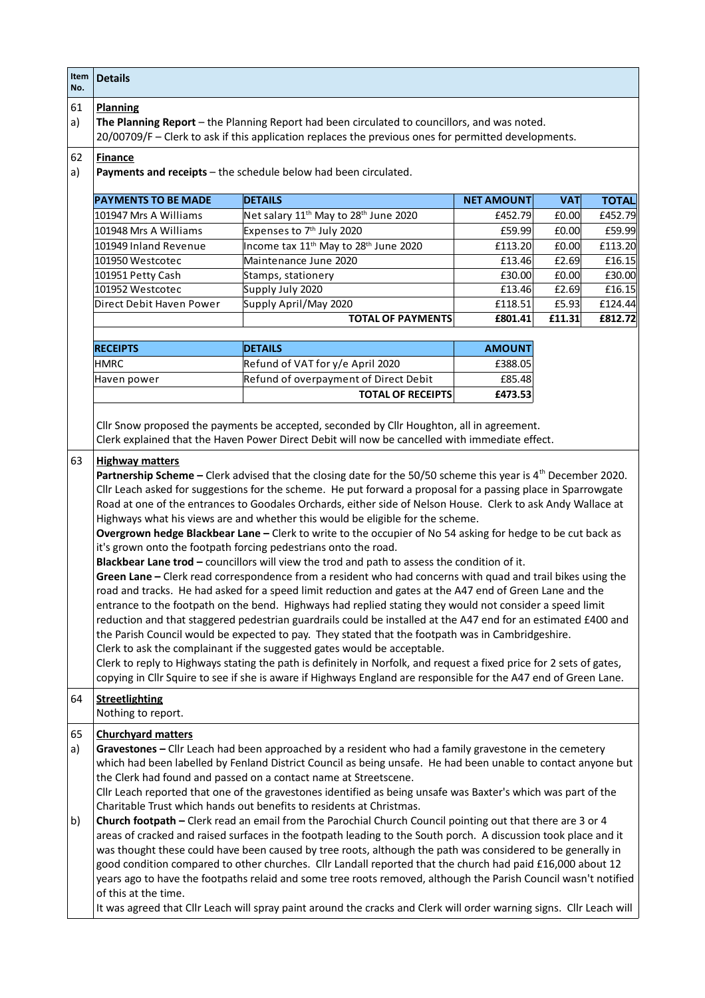| Item<br>No.    | <b>Details</b>                                                                                                                                                                                                                                                                                                                                                                                                                                                                                                                                                                                                                                                                                                                                                                                                                                                                                                                                                                                                                                                                                                                                                                                                                                                                                                                                                                                                                                                                                                                                                                                                                                                                                                                                   |                                                                                                                      |                   |            |              |  |  |
|----------------|--------------------------------------------------------------------------------------------------------------------------------------------------------------------------------------------------------------------------------------------------------------------------------------------------------------------------------------------------------------------------------------------------------------------------------------------------------------------------------------------------------------------------------------------------------------------------------------------------------------------------------------------------------------------------------------------------------------------------------------------------------------------------------------------------------------------------------------------------------------------------------------------------------------------------------------------------------------------------------------------------------------------------------------------------------------------------------------------------------------------------------------------------------------------------------------------------------------------------------------------------------------------------------------------------------------------------------------------------------------------------------------------------------------------------------------------------------------------------------------------------------------------------------------------------------------------------------------------------------------------------------------------------------------------------------------------------------------------------------------------------|----------------------------------------------------------------------------------------------------------------------|-------------------|------------|--------------|--|--|
| 61<br>a)       | <b>Planning</b><br>The Planning Report - the Planning Report had been circulated to councillors, and was noted.<br>20/00709/F - Clerk to ask if this application replaces the previous ones for permitted developments.                                                                                                                                                                                                                                                                                                                                                                                                                                                                                                                                                                                                                                                                                                                                                                                                                                                                                                                                                                                                                                                                                                                                                                                                                                                                                                                                                                                                                                                                                                                          |                                                                                                                      |                   |            |              |  |  |
| 62<br>a)       | <b>Finance</b><br>Payments and receipts - the schedule below had been circulated.                                                                                                                                                                                                                                                                                                                                                                                                                                                                                                                                                                                                                                                                                                                                                                                                                                                                                                                                                                                                                                                                                                                                                                                                                                                                                                                                                                                                                                                                                                                                                                                                                                                                |                                                                                                                      |                   |            |              |  |  |
|                | <b>PAYMENTS TO BE MADE</b>                                                                                                                                                                                                                                                                                                                                                                                                                                                                                                                                                                                                                                                                                                                                                                                                                                                                                                                                                                                                                                                                                                                                                                                                                                                                                                                                                                                                                                                                                                                                                                                                                                                                                                                       | <b>DETAILS</b>                                                                                                       | <b>NET AMOUNT</b> | <b>VAT</b> | <b>TOTAL</b> |  |  |
|                | 101947 Mrs A Williams                                                                                                                                                                                                                                                                                                                                                                                                                                                                                                                                                                                                                                                                                                                                                                                                                                                                                                                                                                                                                                                                                                                                                                                                                                                                                                                                                                                                                                                                                                                                                                                                                                                                                                                            | Net salary 11 <sup>th</sup> May to 28 <sup>th</sup> June 2020                                                        | £452.79           | £0.00      | £452.79      |  |  |
|                | 101948 Mrs A Williams                                                                                                                                                                                                                                                                                                                                                                                                                                                                                                                                                                                                                                                                                                                                                                                                                                                                                                                                                                                                                                                                                                                                                                                                                                                                                                                                                                                                                                                                                                                                                                                                                                                                                                                            | Expenses to 7 <sup>th</sup> July 2020                                                                                | £59.99            | £0.00      | £59.99       |  |  |
|                | 101949 Inland Revenue                                                                                                                                                                                                                                                                                                                                                                                                                                                                                                                                                                                                                                                                                                                                                                                                                                                                                                                                                                                                                                                                                                                                                                                                                                                                                                                                                                                                                                                                                                                                                                                                                                                                                                                            | Income tax 11 <sup>th</sup> May to 28 <sup>th</sup> June 2020                                                        | £113.20           | £0.00      | £113.20      |  |  |
|                | 101950 Westcotec                                                                                                                                                                                                                                                                                                                                                                                                                                                                                                                                                                                                                                                                                                                                                                                                                                                                                                                                                                                                                                                                                                                                                                                                                                                                                                                                                                                                                                                                                                                                                                                                                                                                                                                                 | Maintenance June 2020                                                                                                | £13.46            | £2.69      | £16.15       |  |  |
|                | 101951 Petty Cash                                                                                                                                                                                                                                                                                                                                                                                                                                                                                                                                                                                                                                                                                                                                                                                                                                                                                                                                                                                                                                                                                                                                                                                                                                                                                                                                                                                                                                                                                                                                                                                                                                                                                                                                | Stamps, stationery                                                                                                   | £30.00            | £0.00      | £30.00       |  |  |
|                | 101952 Westcotec                                                                                                                                                                                                                                                                                                                                                                                                                                                                                                                                                                                                                                                                                                                                                                                                                                                                                                                                                                                                                                                                                                                                                                                                                                                                                                                                                                                                                                                                                                                                                                                                                                                                                                                                 | Supply July 2020                                                                                                     | £13.46            | £2.69      | £16.15       |  |  |
|                | Direct Debit Haven Power                                                                                                                                                                                                                                                                                                                                                                                                                                                                                                                                                                                                                                                                                                                                                                                                                                                                                                                                                                                                                                                                                                                                                                                                                                                                                                                                                                                                                                                                                                                                                                                                                                                                                                                         | Supply April/May 2020                                                                                                | £118.51           | £5.93      | £124.44      |  |  |
|                |                                                                                                                                                                                                                                                                                                                                                                                                                                                                                                                                                                                                                                                                                                                                                                                                                                                                                                                                                                                                                                                                                                                                                                                                                                                                                                                                                                                                                                                                                                                                                                                                                                                                                                                                                  | <b>TOTAL OF PAYMENTS</b>                                                                                             | £801.41           | £11.31     | £812.72      |  |  |
|                |                                                                                                                                                                                                                                                                                                                                                                                                                                                                                                                                                                                                                                                                                                                                                                                                                                                                                                                                                                                                                                                                                                                                                                                                                                                                                                                                                                                                                                                                                                                                                                                                                                                                                                                                                  |                                                                                                                      |                   |            |              |  |  |
|                | <b>RECEIPTS</b>                                                                                                                                                                                                                                                                                                                                                                                                                                                                                                                                                                                                                                                                                                                                                                                                                                                                                                                                                                                                                                                                                                                                                                                                                                                                                                                                                                                                                                                                                                                                                                                                                                                                                                                                  | <b>DETAILS</b>                                                                                                       | <b>AMOUNT</b>     |            |              |  |  |
|                | <b>HMRC</b>                                                                                                                                                                                                                                                                                                                                                                                                                                                                                                                                                                                                                                                                                                                                                                                                                                                                                                                                                                                                                                                                                                                                                                                                                                                                                                                                                                                                                                                                                                                                                                                                                                                                                                                                      | Refund of VAT for y/e April 2020                                                                                     | £388.05           |            |              |  |  |
|                | Haven power                                                                                                                                                                                                                                                                                                                                                                                                                                                                                                                                                                                                                                                                                                                                                                                                                                                                                                                                                                                                                                                                                                                                                                                                                                                                                                                                                                                                                                                                                                                                                                                                                                                                                                                                      | Refund of overpayment of Direct Debit                                                                                | £85.48            |            |              |  |  |
|                |                                                                                                                                                                                                                                                                                                                                                                                                                                                                                                                                                                                                                                                                                                                                                                                                                                                                                                                                                                                                                                                                                                                                                                                                                                                                                                                                                                                                                                                                                                                                                                                                                                                                                                                                                  | <b>TOTAL OF RECEIPTS</b>                                                                                             | £473.53           |            |              |  |  |
|                |                                                                                                                                                                                                                                                                                                                                                                                                                                                                                                                                                                                                                                                                                                                                                                                                                                                                                                                                                                                                                                                                                                                                                                                                                                                                                                                                                                                                                                                                                                                                                                                                                                                                                                                                                  |                                                                                                                      |                   |            |              |  |  |
| 63             | Clerk explained that the Haven Power Direct Debit will now be cancelled with immediate effect.<br><b>Highway matters</b><br>Partnership Scheme - Clerk advised that the closing date for the 50/50 scheme this year is 4 <sup>th</sup> December 2020.<br>Cllr Leach asked for suggestions for the scheme. He put forward a proposal for a passing place in Sparrowgate<br>Road at one of the entrances to Goodales Orchards, either side of Nelson House. Clerk to ask Andy Wallace at<br>Highways what his views are and whether this would be eligible for the scheme.<br>Overgrown hedge Blackbear Lane - Clerk to write to the occupier of No 54 asking for hedge to be cut back as<br>it's grown onto the footpath forcing pedestrians onto the road.<br>Blackbear Lane trod - councillors will view the trod and path to assess the condition of it.<br>Green Lane - Clerk read correspondence from a resident who had concerns with quad and trail bikes using the<br>road and tracks. He had asked for a speed limit reduction and gates at the A47 end of Green Lane and the<br>entrance to the footpath on the bend. Highways had replied stating they would not consider a speed limit<br>reduction and that staggered pedestrian guardrails could be installed at the A47 end for an estimated £400 and<br>the Parish Council would be expected to pay. They stated that the footpath was in Cambridgeshire.<br>Clerk to ask the complainant if the suggested gates would be acceptable.<br>Clerk to reply to Highways stating the path is definitely in Norfolk, and request a fixed price for 2 sets of gates,<br>copying in Cllr Squire to see if she is aware if Highways England are responsible for the A47 end of Green Lane. |                                                                                                                      |                   |            |              |  |  |
| 64             | <b>Streetlighting</b><br>Nothing to report.                                                                                                                                                                                                                                                                                                                                                                                                                                                                                                                                                                                                                                                                                                                                                                                                                                                                                                                                                                                                                                                                                                                                                                                                                                                                                                                                                                                                                                                                                                                                                                                                                                                                                                      |                                                                                                                      |                   |            |              |  |  |
| 65<br>a)<br>b) | <b>Churchyard matters</b><br>Gravestones - Cllr Leach had been approached by a resident who had a family gravestone in the cemetery<br>which had been labelled by Fenland District Council as being unsafe. He had been unable to contact anyone but<br>the Clerk had found and passed on a contact name at Streetscene.<br>Cllr Leach reported that one of the gravestones identified as being unsafe was Baxter's which was part of the<br>Charitable Trust which hands out benefits to residents at Christmas.<br>Church footpath - Clerk read an email from the Parochial Church Council pointing out that there are 3 or 4<br>areas of cracked and raised surfaces in the footpath leading to the South porch. A discussion took place and it<br>was thought these could have been caused by tree roots, although the path was considered to be generally in<br>good condition compared to other churches. Cllr Landall reported that the church had paid £16,000 about 12<br>years ago to have the footpaths relaid and some tree roots removed, although the Parish Council wasn't notified                                                                                                                                                                                                                                                                                                                                                                                                                                                                                                                                                                                                                                               |                                                                                                                      |                   |            |              |  |  |
|                | of this at the time.                                                                                                                                                                                                                                                                                                                                                                                                                                                                                                                                                                                                                                                                                                                                                                                                                                                                                                                                                                                                                                                                                                                                                                                                                                                                                                                                                                                                                                                                                                                                                                                                                                                                                                                             | It was agreed that Cllr Leach will spray paint around the cracks and Clerk will order warning signs. Cllr Leach will |                   |            |              |  |  |